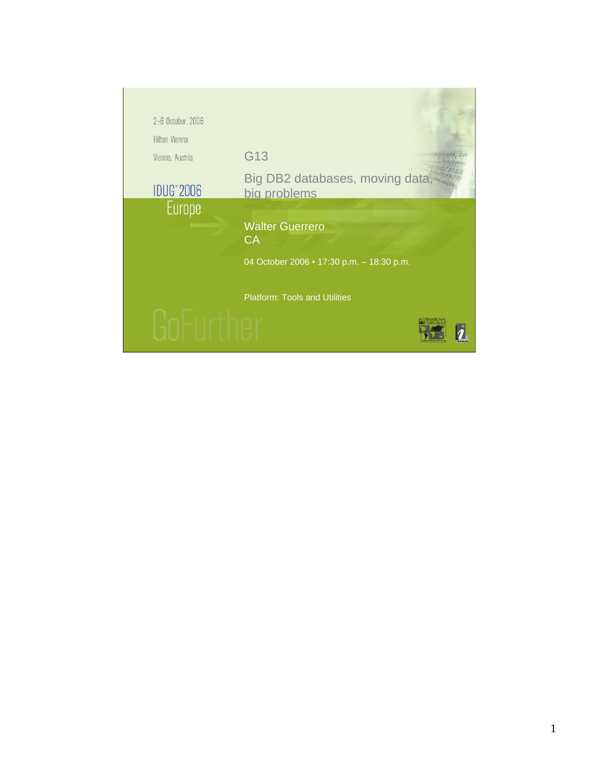| 2-6 October, 2006             |                                                |  |
|-------------------------------|------------------------------------------------|--|
| <b>Hilton Vienna</b>          |                                                |  |
| Vienna, Austria               | G13                                            |  |
| <b>IDUG</b> <sup>*</sup> 2006 | Big DB2 databases, moving data<br>big problems |  |
| <b>Europe</b>                 |                                                |  |
|                               | <b>Walter Guerrero</b><br>CA                   |  |
|                               | 04 October 2006 . 17:30 p.m. - 18:30 p.m.      |  |
|                               | <b>Platform: Tools and Utilities</b>           |  |
|                               |                                                |  |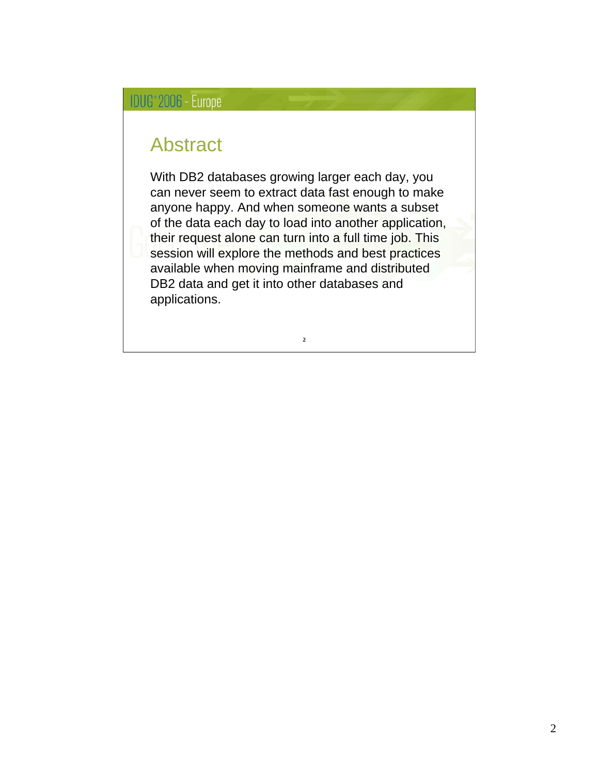#### Abstract

With DB2 databases growing larger each day, you can never seem to extract data fast enough to make anyone happy. And when someone wants a subset of the data each day to load into another application, their request alone can turn into a full time job. This session will explore the methods and best practices available when moving mainframe and distributed DB2 data and get it into other databases and applications.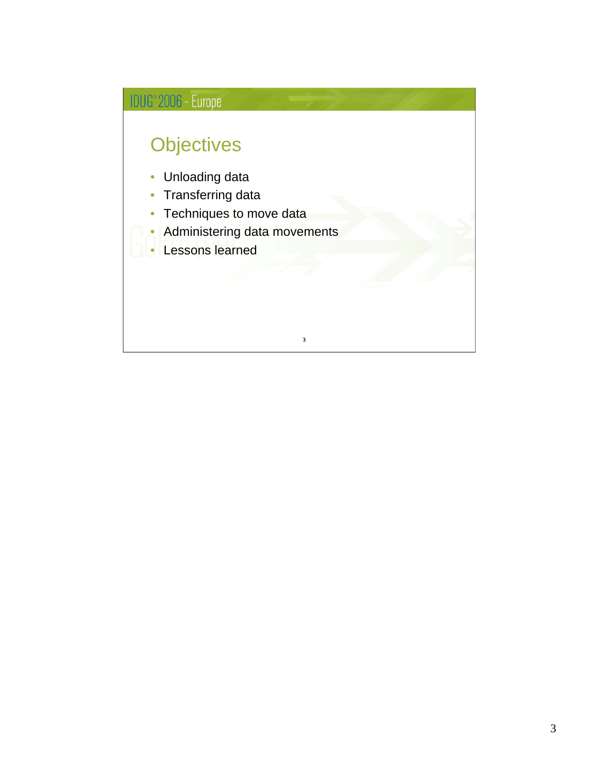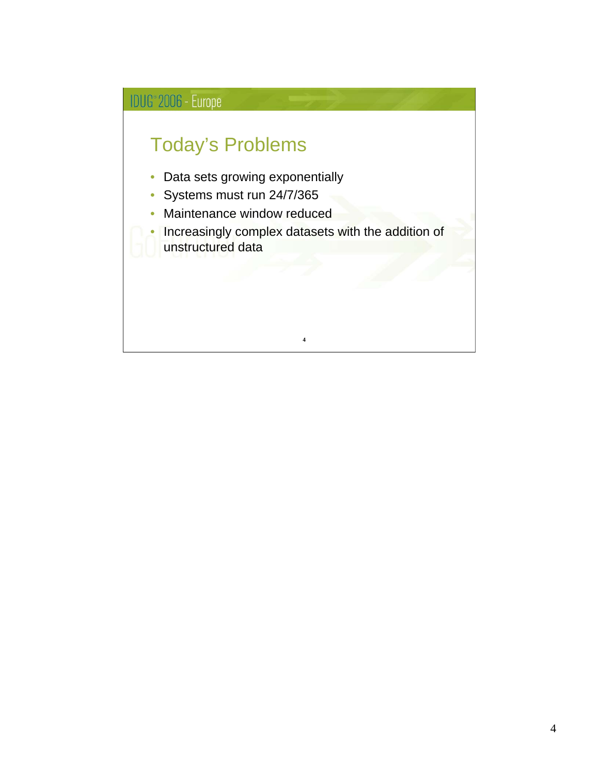### Today's Problems

- Data sets growing exponentially
- Systems must run 24/7/365
- Maintenance window reduced

• Increasingly complex datasets with the addition of unstructured data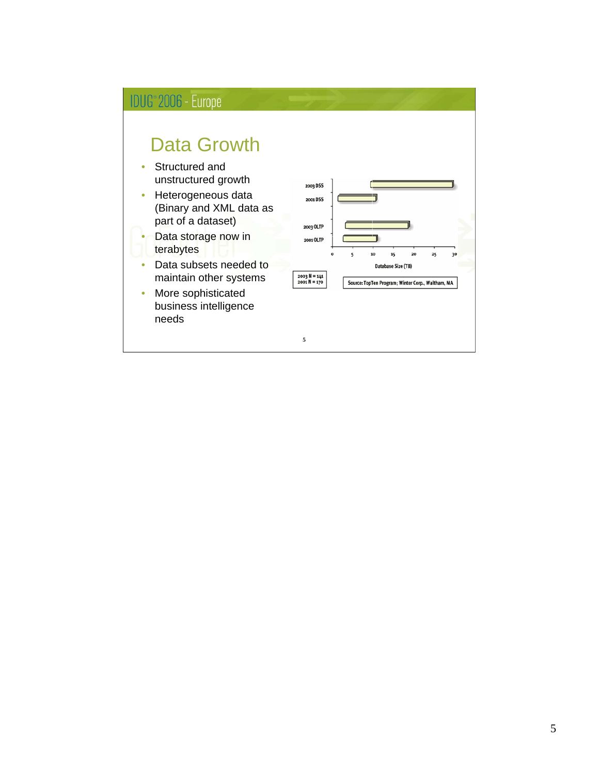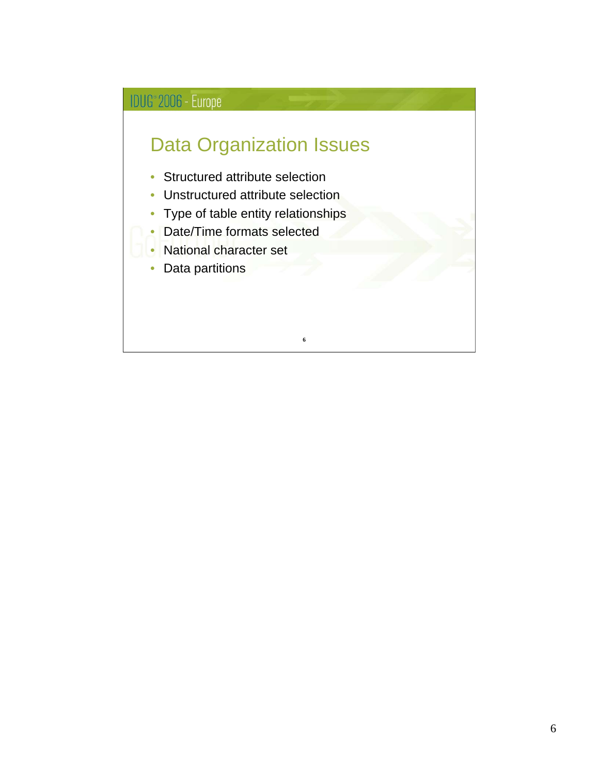# IDUG<sup>®</sup> 2006 - Europe Data Organization Issues • Structured attribute selection • Unstructured attribute selection • Type of table entity relationships • Date/Time formats selected • National character set • Data partitions **6**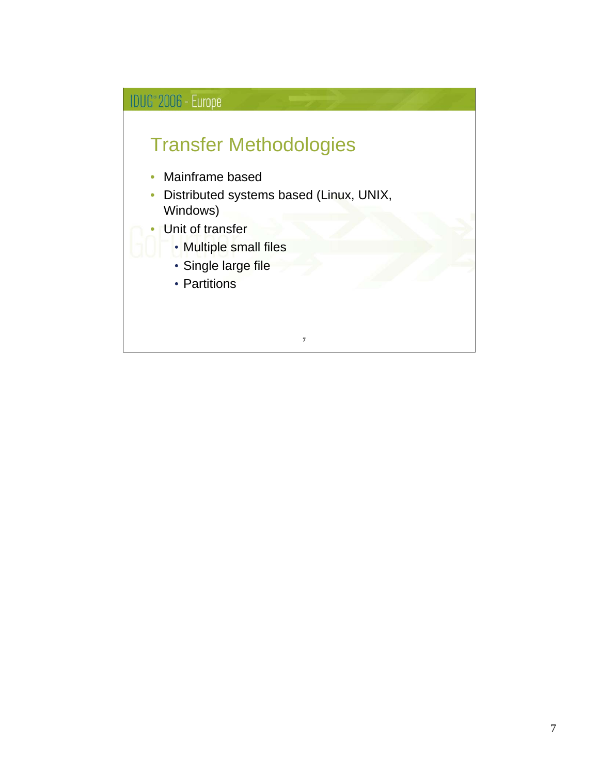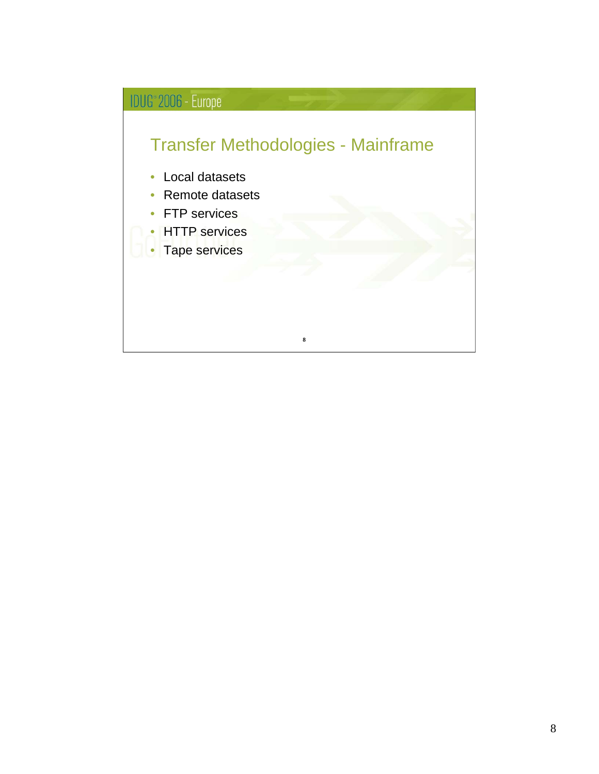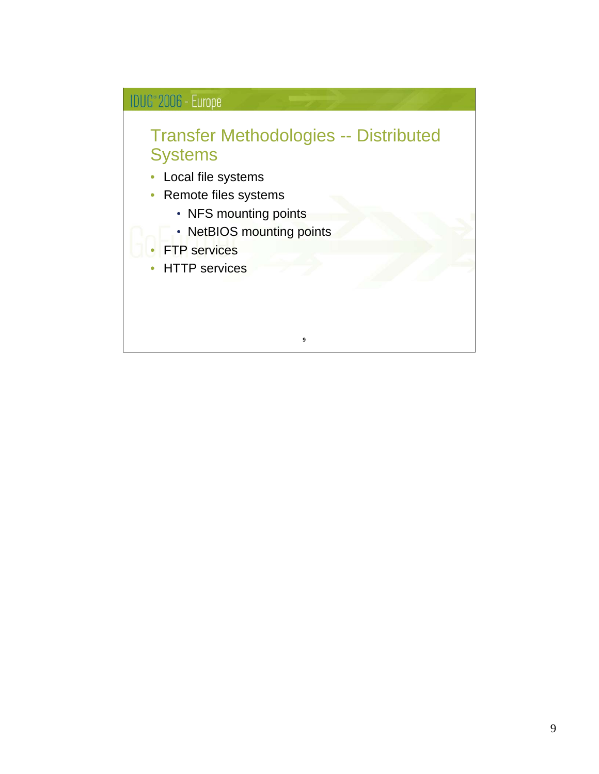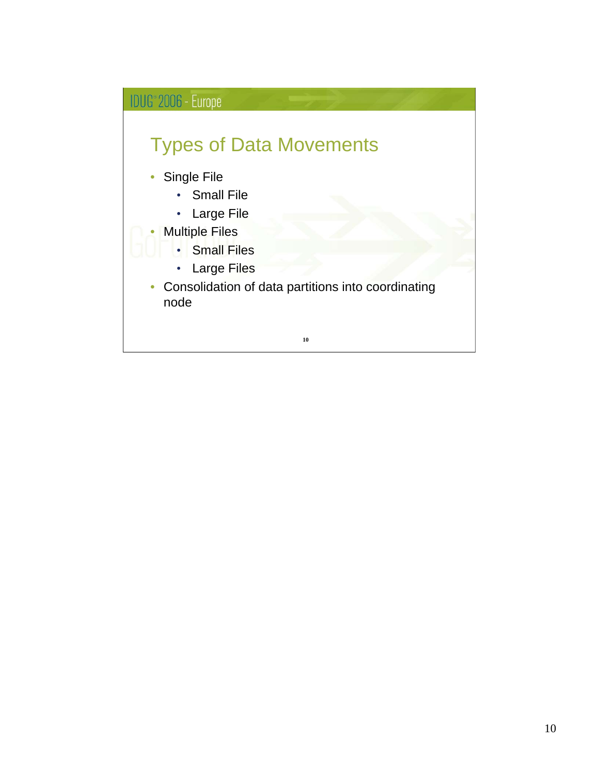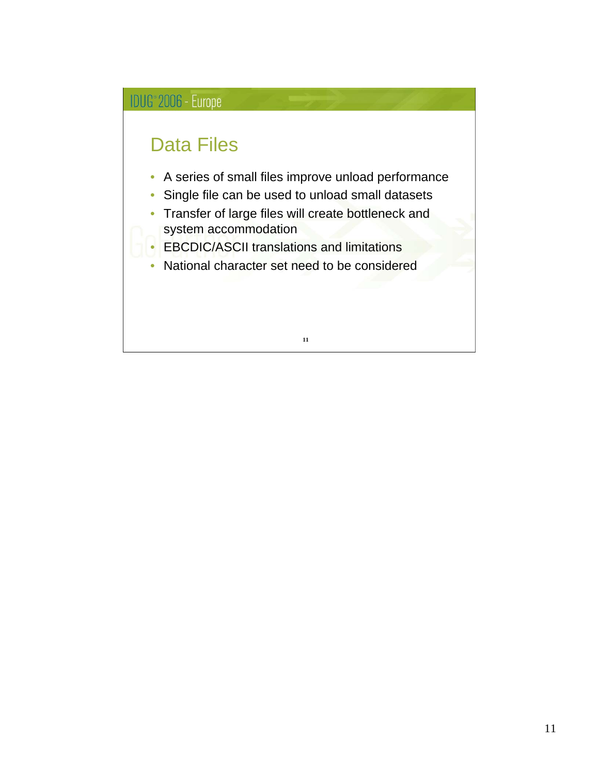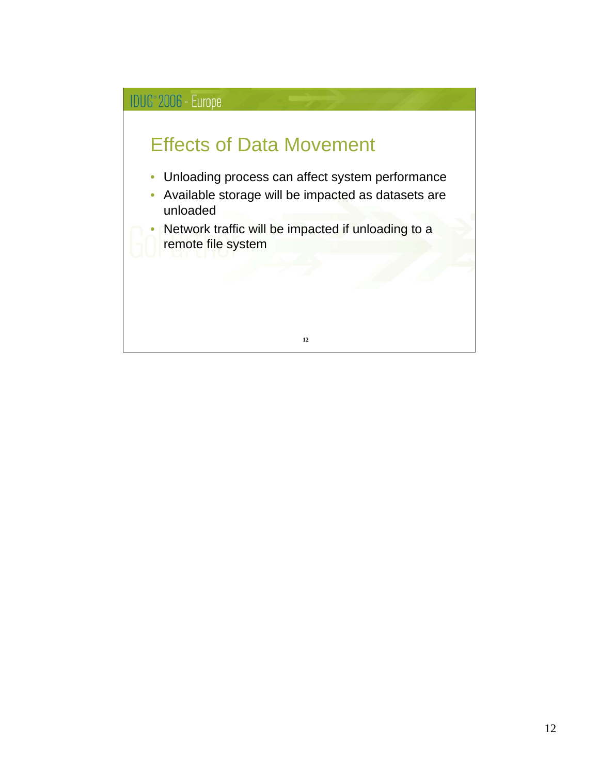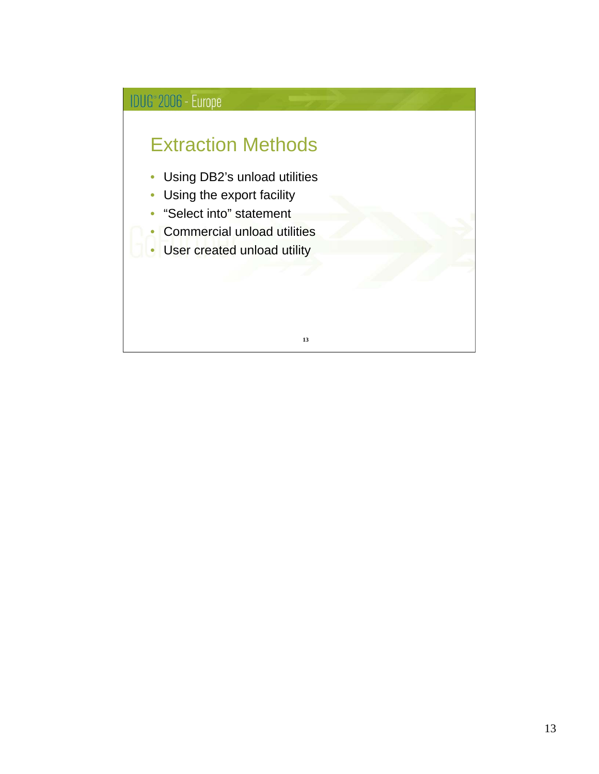### Extraction Methods

- Using DB2's unload utilities
- Using the export facility
- "Select into" statement
- Commercial unload utilities
- User created unload utility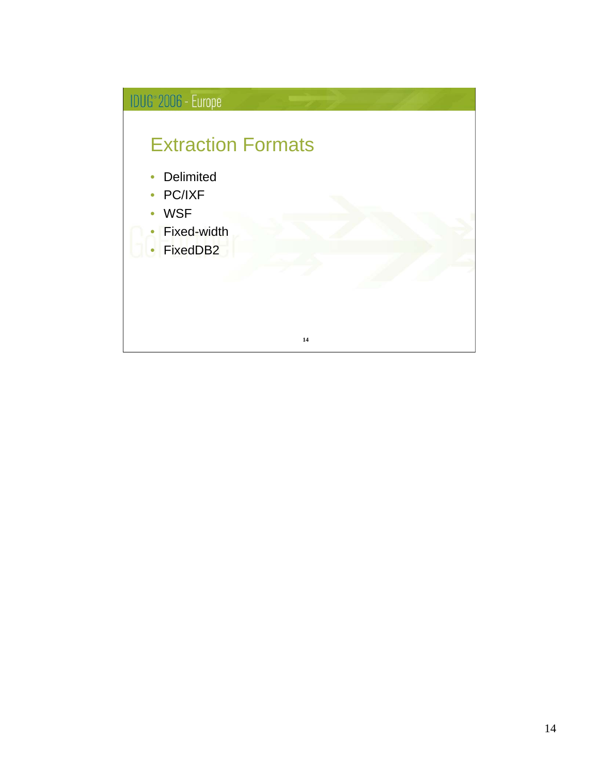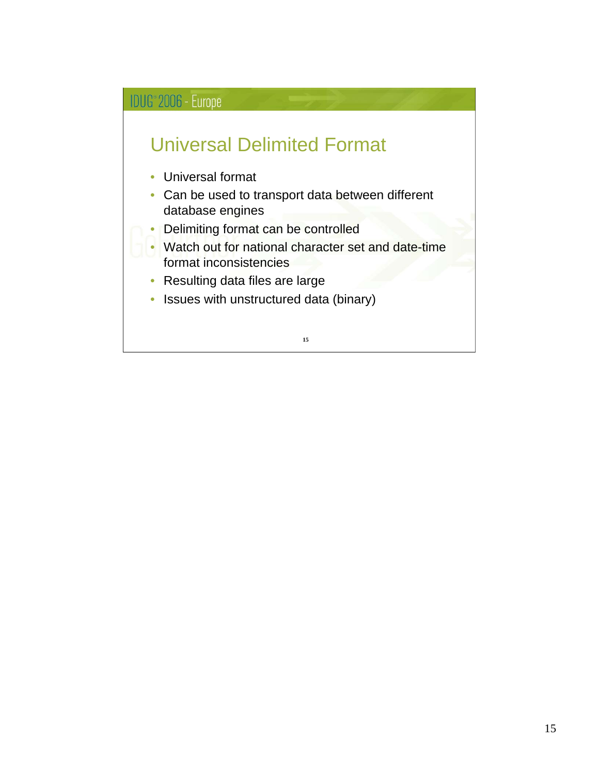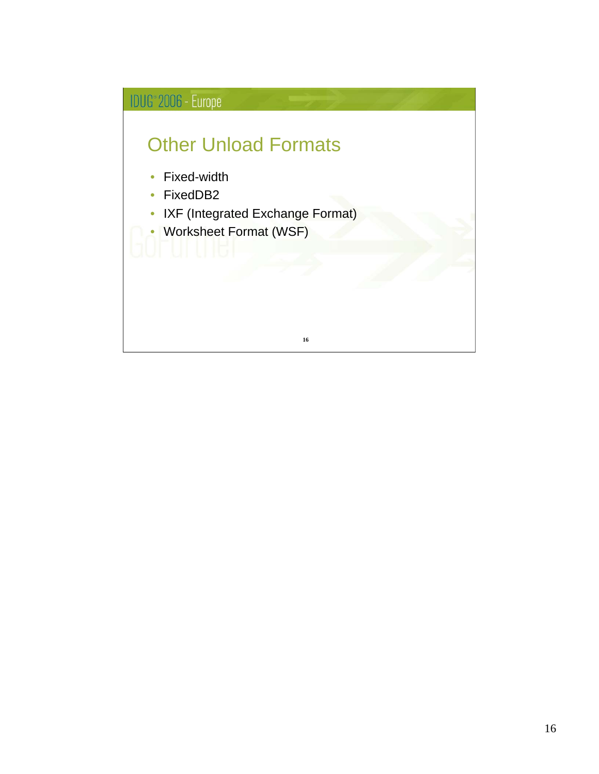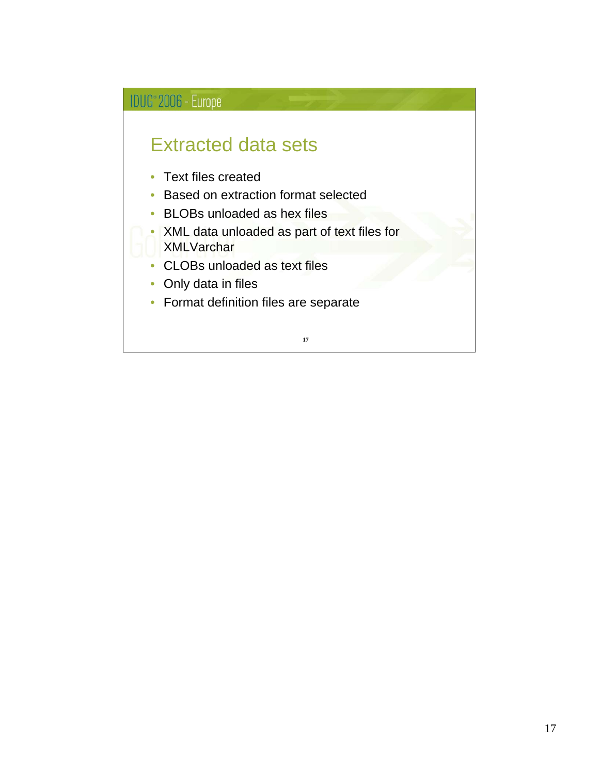### Extracted data sets

- Text files created
- Based on extraction format selected
- BLOBs unloaded as hex files
- XML data unloaded as part of text files for **XMLVarchar**
- CLOBs unloaded as text files
- Only data in files
- Format definition files are separate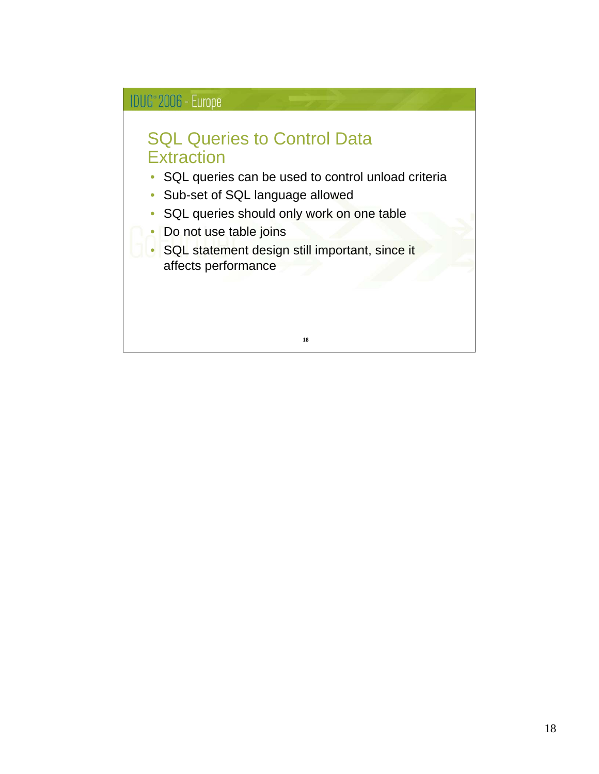#### SQL Queries to Control Data **Extraction**

- SQL queries can be used to control unload criteria
- Sub-set of SQL language allowed
- SQL queries should only work on one table
- Do not use table joins
- SQL statement design still important, since it affects performance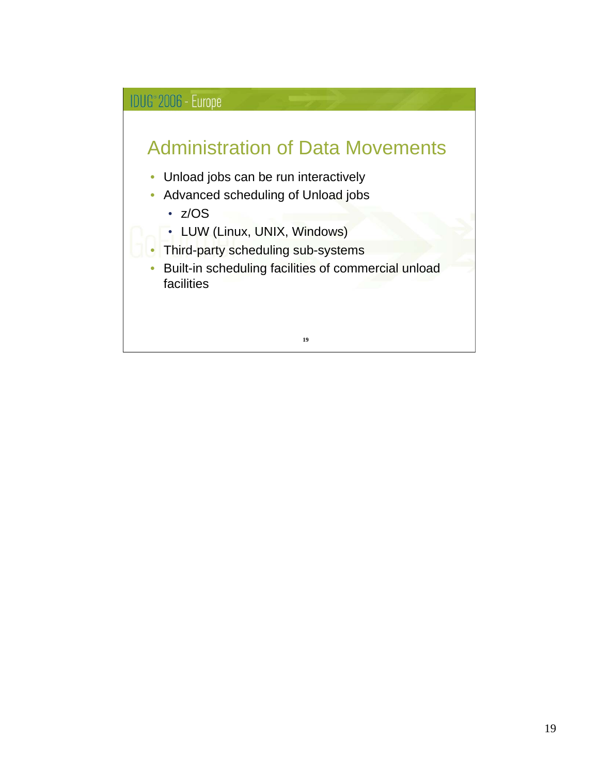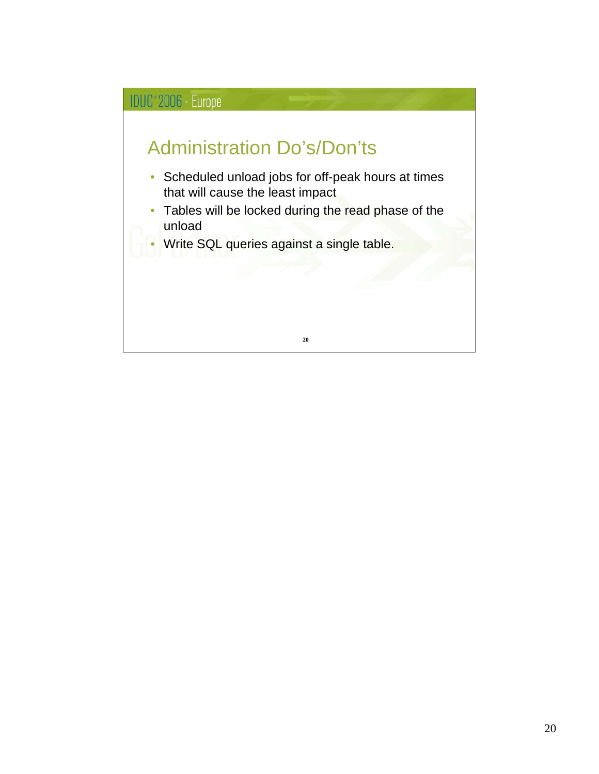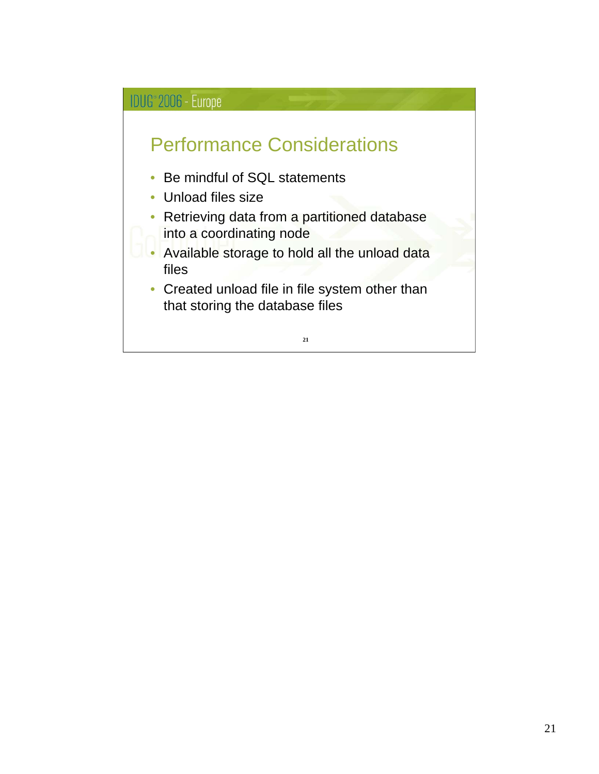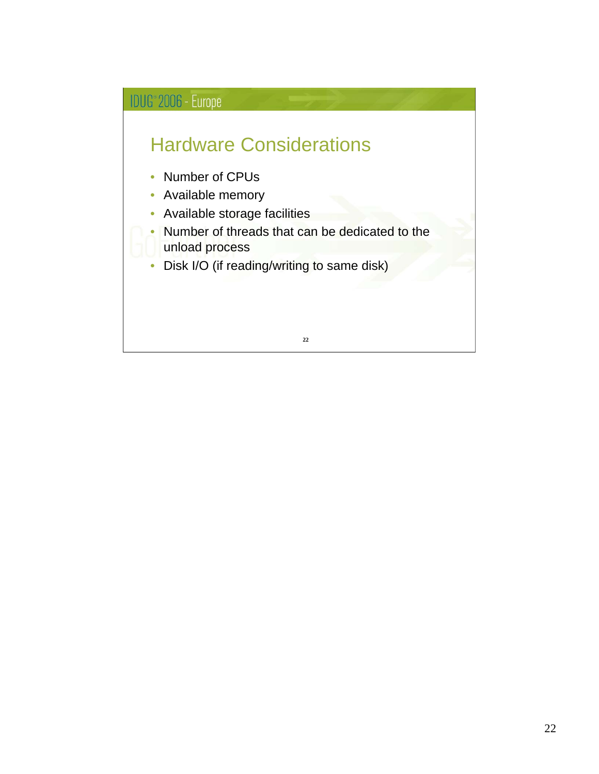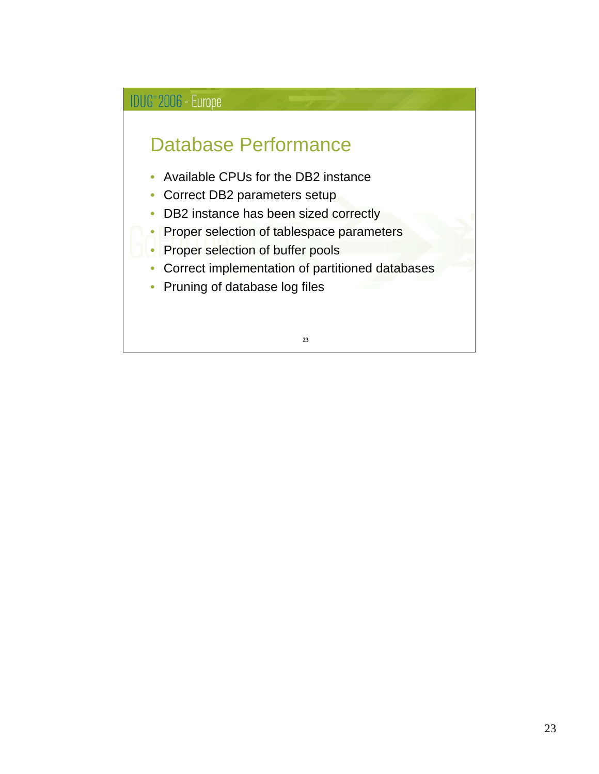### Database Performance

- Available CPUs for the DB2 instance
- Correct DB2 parameters setup
- DB2 instance has been sized correctly
- Proper selection of tablespace parameters
- Proper selection of buffer pools
- Correct implementation of partitioned databases
- Pruning of database log files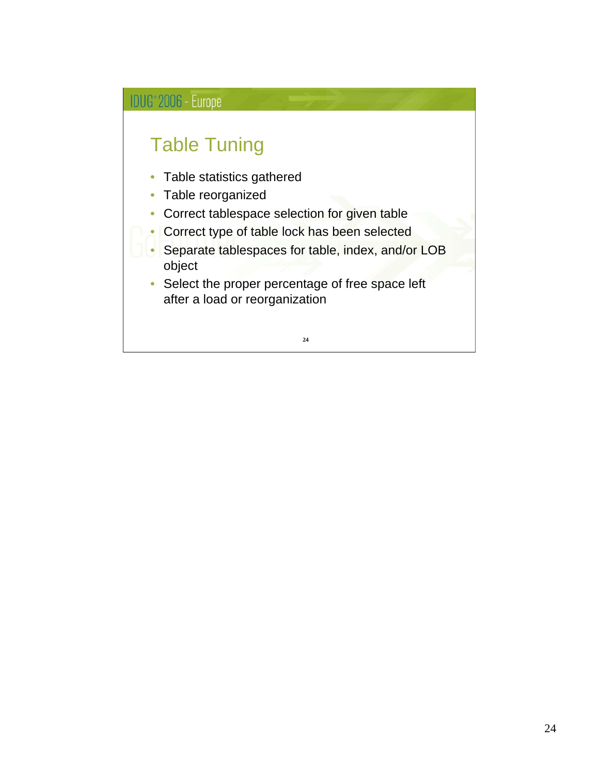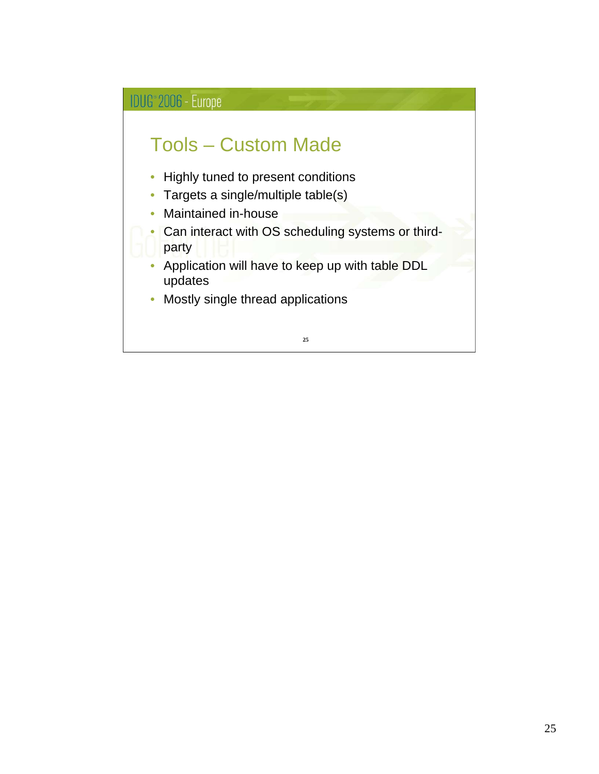## IDUG<sup>®</sup> 2006 - Europe Tools – Custom Made • Highly tuned to present conditions • Targets a single/multiple table(s) • Maintained in-house • Can interact with OS scheduling systems or thirdparty • Application will have to keep up with table DDL updates • Mostly single thread applications **25**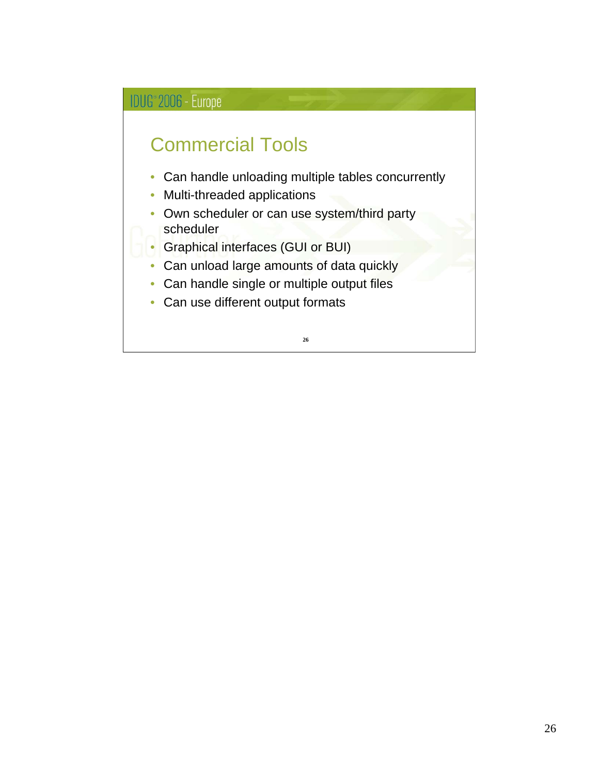### Commercial Tools

- Can handle unloading multiple tables concurrently
- Multi-threaded applications
- Own scheduler or can use system/third party scheduler
- Graphical interfaces (GUI or BUI)
- Can unload large amounts of data quickly
- Can handle single or multiple output files
- Can use different output formats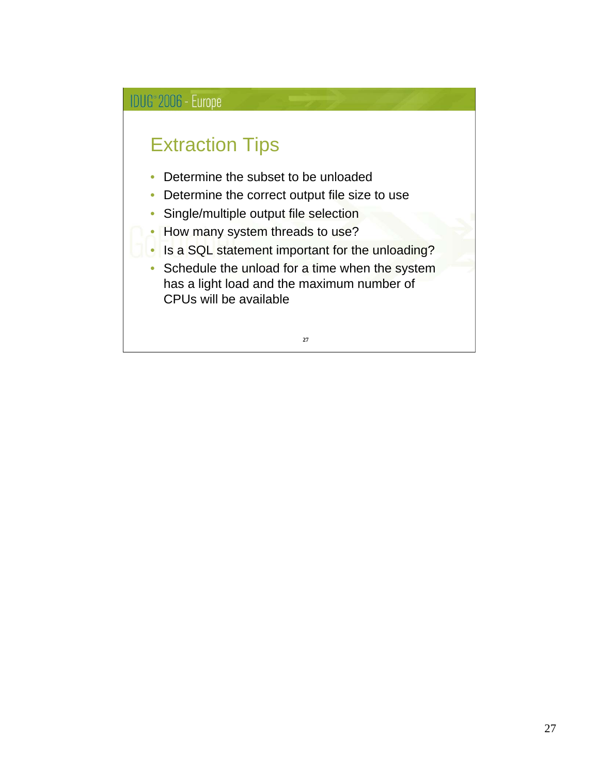### Extraction Tips

- Determine the subset to be unloaded
- Determine the correct output file size to use
- Single/multiple output file selection
- How many system threads to use?
- Is a SQL statement important for the unloading?
- Schedule the unload for a time when the system has a light load and the maximum number of CPUs will be available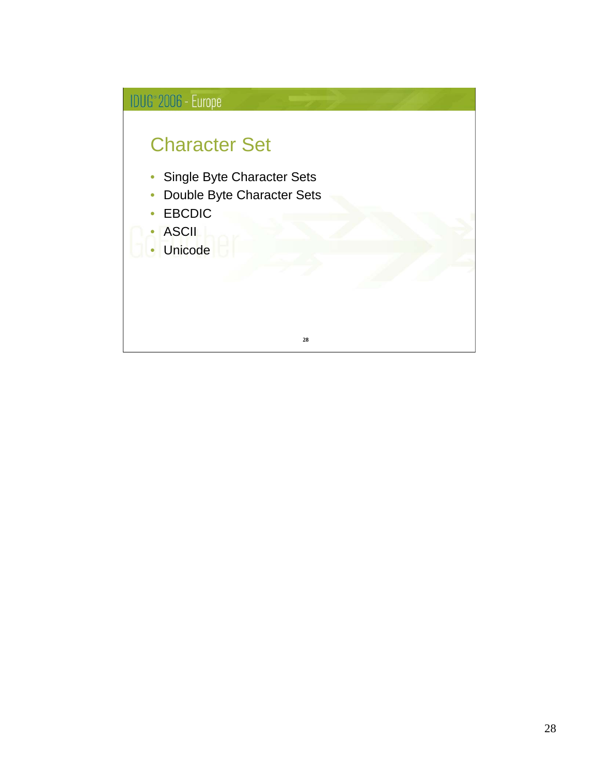![](_page_27_Figure_0.jpeg)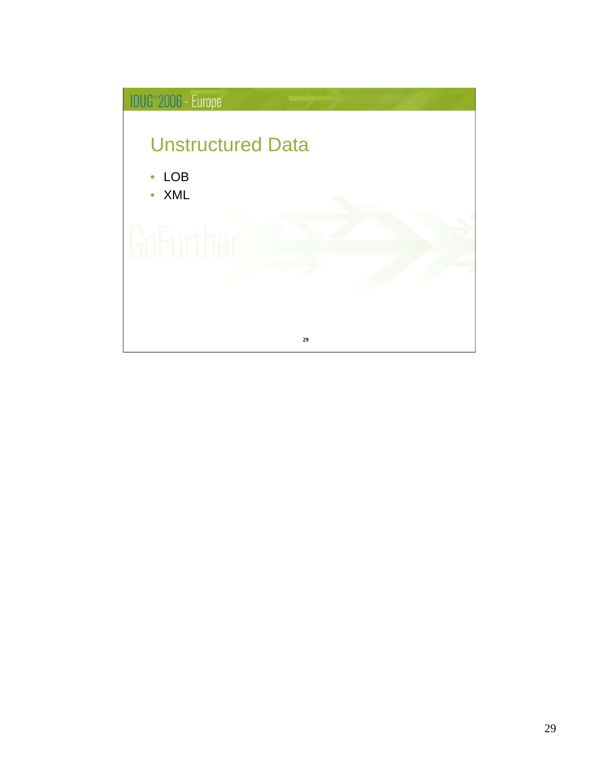![](_page_28_Figure_0.jpeg)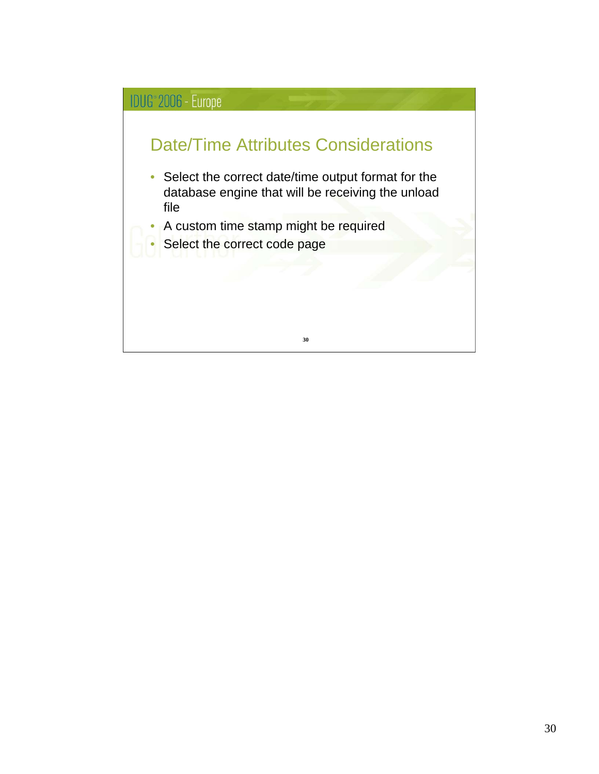![](_page_29_Figure_0.jpeg)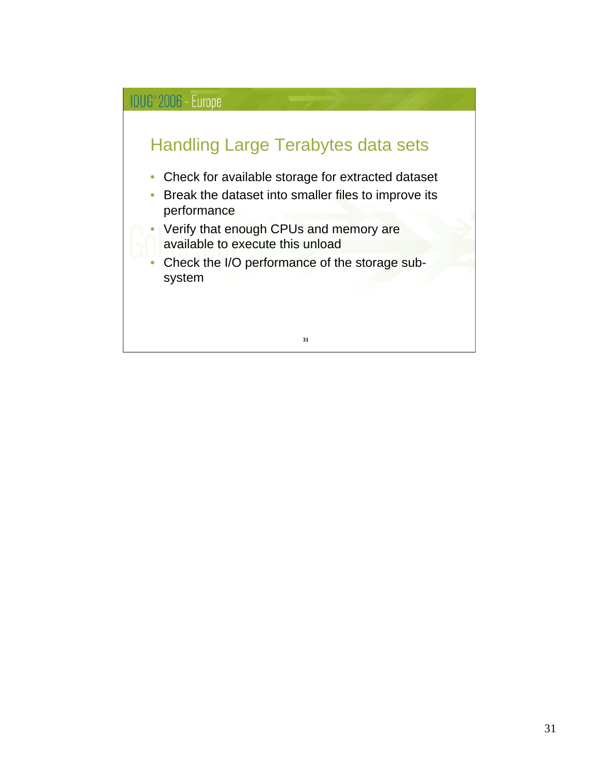![](_page_30_Figure_0.jpeg)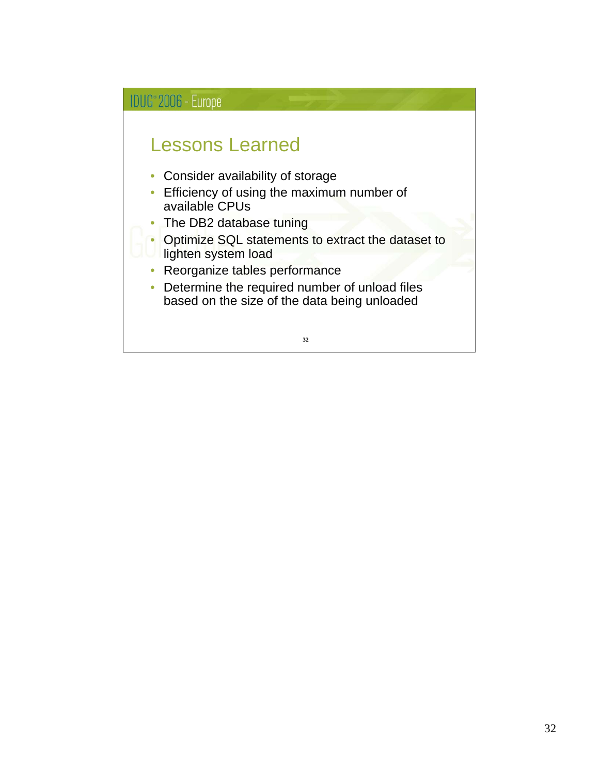![](_page_31_Figure_0.jpeg)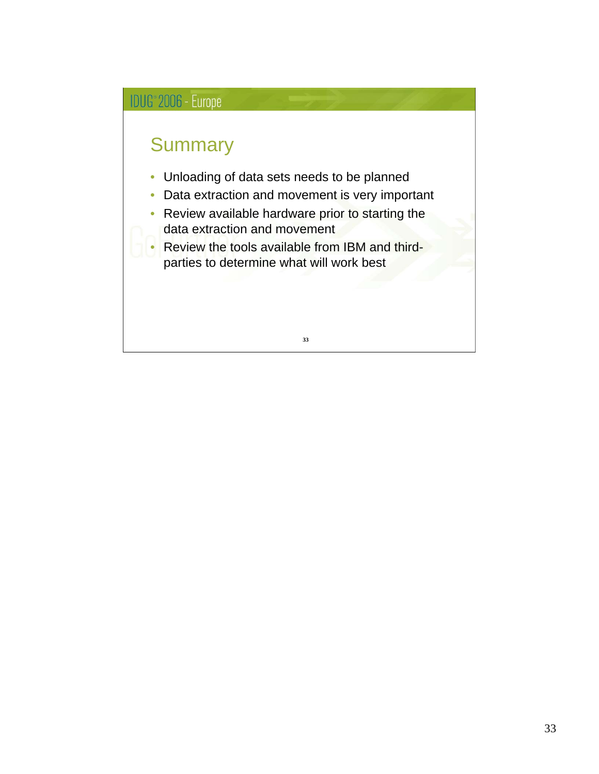![](_page_32_Figure_0.jpeg)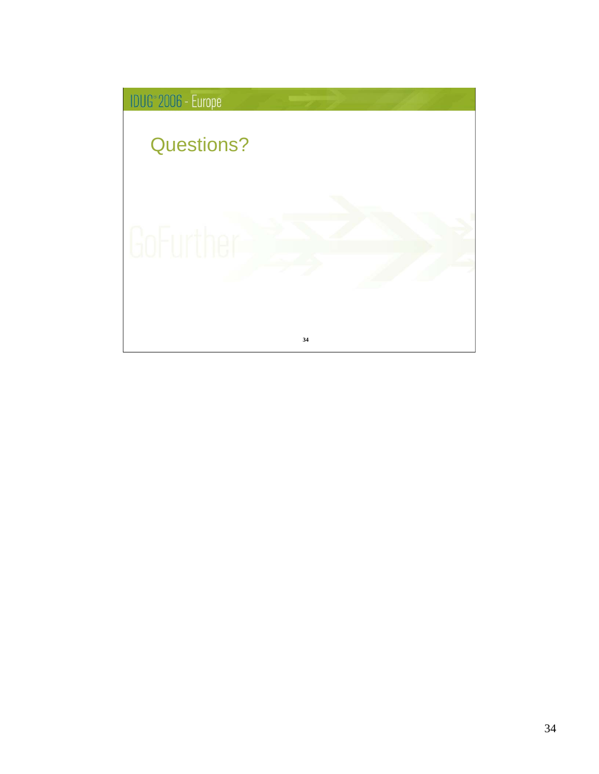![](_page_33_Picture_0.jpeg)